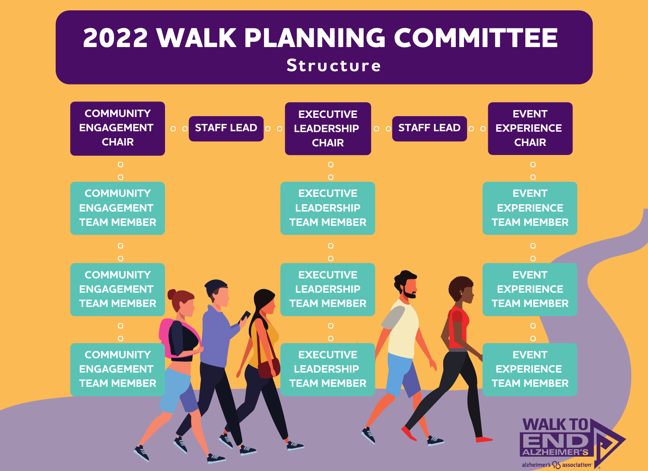# **2022 WALK PLANNING COMMITTEE Structure**

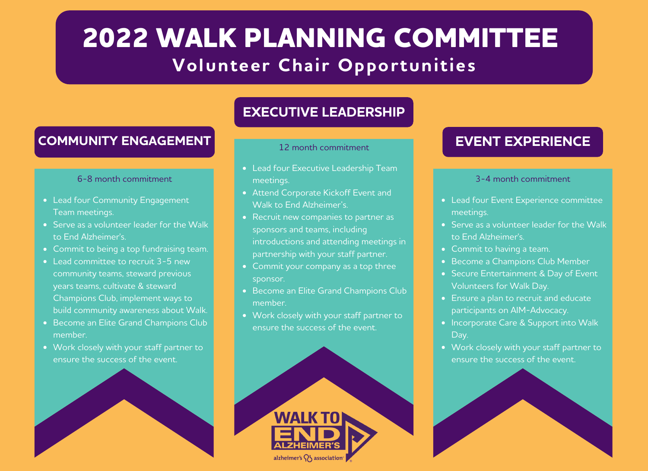# **2022 WALK PLANNING COMMITTEE Volunteer Chair Opportunities**

### **COMMUNITY ENGAGEMENT**

#### 6-8 month commitment

- Lead four Community Engagement Team meetings.
- Serve as a volunteer leader for the Walk to End Alzheimer's.
- Commit to being a top fundraising team.
- Lead committee to recruit 3-5 new community teams, steward previous years teams, cultivate & steward Champions Club, implement ways to build community awareness about Walk.
- Become an Elite Grand Champions Club member.
- Work closely with your staff partner to ensure the success of the event.



## **EXECUTIVE LEADERSHIP**

### 12 month commitment

- Lead four Executive Leadership Team meetings.
- Attend Corporate Kickoff Event and Walk to End Alzheimer's.
- Recruit new companies to partner as sponsors and teams, including introductions and attending meetings in partnership with your staff partner.
- Commit your company as a top three sponsor.
- Become an Elite Grand Champions Club member.
- Work closely with your staff partner to ensure the success of the event.



## **EVENT EXPERIENCE**

### 3-4 month commitment

- Lead four Event Experience committee meetings.
- Serve as a volunteer leader for the Walk to End Alzheimer's.
- Commit to having a team.
- Become a Champions Club Member
- Secure Entertainment & Day of Event Volunteers for Walk Day.
- Ensure a plan to recruit and educate participants on AIM-Advocacy.
- Incorporate Care & Support into Walk Day.
- Work closely with your staff partner to ensure the success of the event.